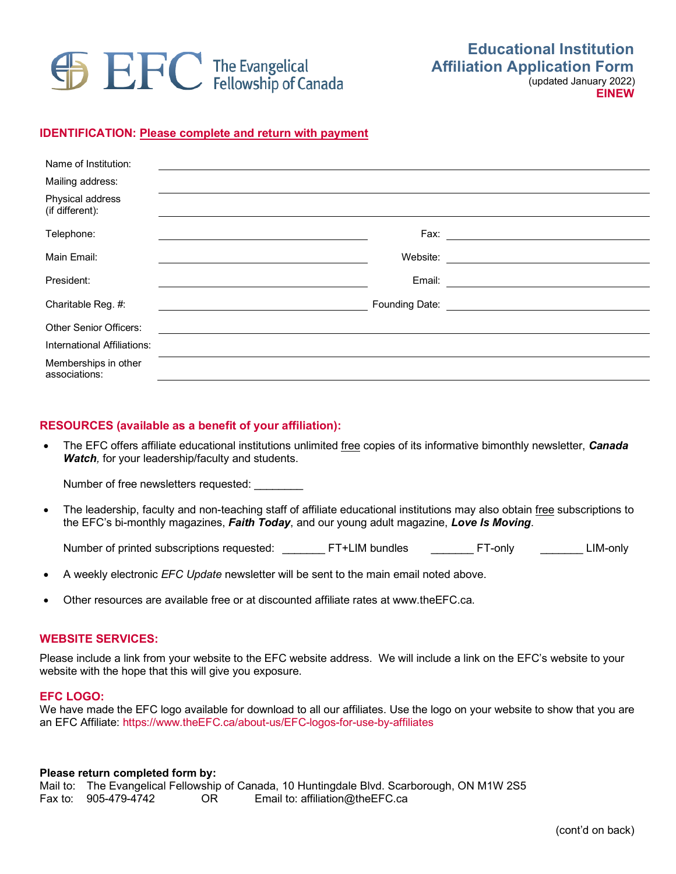

## **IDENTIFICATION: Please complete and return with payment**

| Name of Institution:                  |                                     |
|---------------------------------------|-------------------------------------|
| Mailing address:                      |                                     |
| Physical address<br>(if different):   |                                     |
| Telephone:                            | Fax:                                |
| Main Email:                           | Website: <u>___________________</u> |
| President:                            |                                     |
| Charitable Reg. #:                    |                                     |
| <b>Other Senior Officers:</b>         |                                     |
| International Affiliations:           |                                     |
| Memberships in other<br>associations: |                                     |
|                                       |                                     |

## **RESOURCES (available as a benefit of your affiliation):**

• The EFC offers affiliate educational institutions unlimited free copies of its informative bimonthly newsletter, *Canada Watch*, for your leadership/faculty and students.

Number of free newsletters requested:

The leadership, faculty and non-teaching staff of affiliate educational institutions may also obtain free subscriptions to the EFC's bi-monthly magazines, *Faith Today*, and our young adult magazine, *Love Is Moving*.

Number of printed subscriptions requested: \_\_\_\_\_\_\_\_ FT+LIM bundles \_\_\_\_\_\_\_\_ FT-only \_\_\_\_\_ LIM-only

- A weekly electronic *EFC Update* newsletter will be sent to the main email noted above.
- Other resources are available free or at discounted affiliate rates at www.theEFC.ca.

## **WEBSITE SERVICES:**

Please include a link from your website to the EFC website address. We will include a link on the EFC's website to your website with the hope that this will give you exposure.

### **EFC LOGO:**

We have made the EFC logo available for download to all our affiliates. Use the logo on your website to show that you are an EFC Affiliate: https://www.theEFC.ca/about-us/EFC-logos-for-use-by-affiliates

## **Please return completed form by:**

Mail to: The Evangelical Fellowship of Canada, 10 Huntingdale Blvd. Scarborough, ON M1W 2S5<br>Fax to: 905-479-4742 OR Email to: affiliation@theEFC.ca  $OR$  Email to: affiliation@theEFC.ca